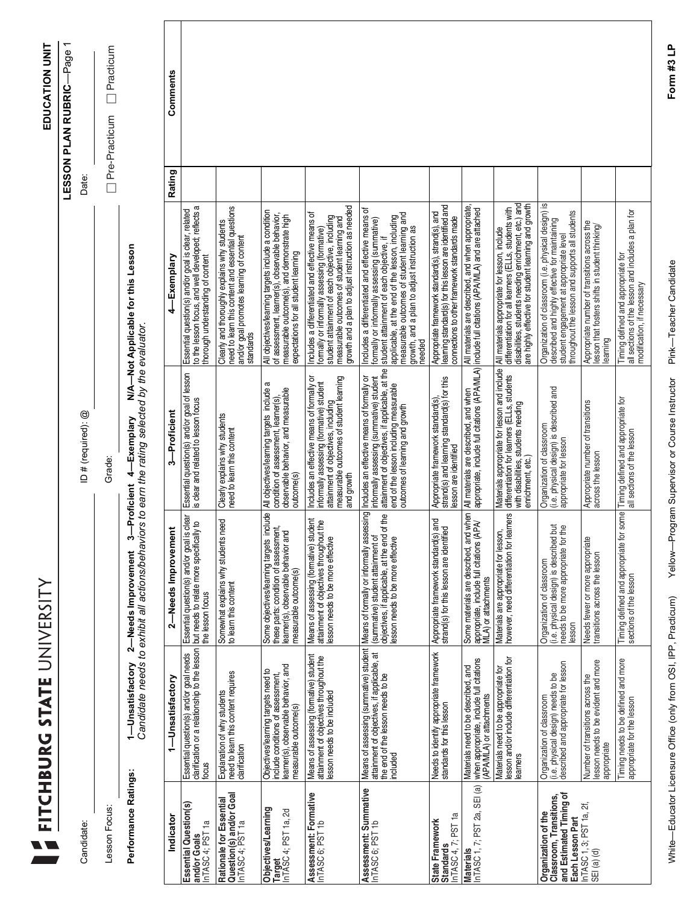|                                                                                               | FITCHBURG STATE UNIVERSITY                                                                                                                |                                                                                                                                                                           |                                                                                                                                                                                                                        |                                                                                                                                                                                                                                                                                                         |               | EDUCATION UNIT              |
|-----------------------------------------------------------------------------------------------|-------------------------------------------------------------------------------------------------------------------------------------------|---------------------------------------------------------------------------------------------------------------------------------------------------------------------------|------------------------------------------------------------------------------------------------------------------------------------------------------------------------------------------------------------------------|---------------------------------------------------------------------------------------------------------------------------------------------------------------------------------------------------------------------------------------------------------------------------------------------------------|---------------|-----------------------------|
|                                                                                               |                                                                                                                                           |                                                                                                                                                                           |                                                                                                                                                                                                                        |                                                                                                                                                                                                                                                                                                         |               | -Page<br>LESSON PLAN RUBRIC |
| Candidate:                                                                                    |                                                                                                                                           |                                                                                                                                                                           | ID # (required): @                                                                                                                                                                                                     |                                                                                                                                                                                                                                                                                                         | Date:         |                             |
| Lesson Focus:                                                                                 |                                                                                                                                           |                                                                                                                                                                           | Grade:                                                                                                                                                                                                                 |                                                                                                                                                                                                                                                                                                         | Pre-Practicum | Practicum                   |
| Performance Ratings:                                                                          | 1—Unsatisfactory                                                                                                                          | 3-Proficient<br>Candidate needs to exhibit all actions/behaviors<br>2-Needs Improvement                                                                                   | to earn the rating selected by the evaluator<br>4-Exemplary                                                                                                                                                            | N/A-Not Applicable for this Lesson                                                                                                                                                                                                                                                                      |               |                             |
| Indicator                                                                                     | 1-Unsatisfactory                                                                                                                          | 2-Needs Improvement                                                                                                                                                       | 3-Proficient                                                                                                                                                                                                           | 4—Exemplary                                                                                                                                                                                                                                                                                             | Rating        | Comments                    |
| Essential Question(s)<br>InTASC 4; PST 1a<br>and/or Goals                                     | Essential question(s) and/or goal needs<br>clarification or a relationship to the lesson<br>focus                                         | Essential question(s) and/or goal is clear<br>but needs to relate more specifically to<br>the lesson focus                                                                | Essential question(s) and/or goal of lesson<br>is clear and related to lesson focus                                                                                                                                    | to the lesson focus, and well developed; reflects a<br>Essential question(s) and/or goal is clear, related<br>thorough understanding of content                                                                                                                                                         |               |                             |
| Question(s) and/or Goal<br>InTASC 4; PST 1a<br>Rationale for Essential                        | need to leam this content requires<br>Explanation of why students<br>darification                                                         | Somewhat explains why students need<br>to leam this content                                                                                                               | Clearly explains why students<br>need to leam this content                                                                                                                                                             | need to leam this content and essential questions<br>Clearly and thoroughly explains why students<br>and/or goal promotes learning of content<br>standards                                                                                                                                              |               |                             |
| Objectives/Learning<br>Target<br>InTASC 4; PST 1a, 2d                                         | learner(s), observable behavior, and<br>measurable outcome(s)<br>Objectives/learning targets need to<br>include conditions of assessment, | ebr<br>Some objectives/learning targets inclu<br>these parts: condition of assessment,<br>learner(s), observable behavior and<br>measurable outcome(s)                    | All objectives/learning targets include a<br>observable behavior, and measurable<br>condition of assessment, learner(s)<br>outcome(s)                                                                                  | All objectives/learning targets include a condition<br>of assessment, learner(s), observable behavior,<br>measurable outcome(s), and demonstrate high<br>expectations for all student learning                                                                                                          |               |                             |
| Assessment: Formative<br>InTASC 6; PST 1b                                                     | Means of assessing (formative) student<br>attainment of objectives throughout the<br>lesson needs to be included                          | Means of assessing (formative) student<br>attainment of objectives throughout the<br>lesson needs to be more effective                                                    | measurable outcomes of student learning<br>Includes an effective means of formally or<br>informally assessing (formative) student<br>attainment of objectives, including<br>and growth                                 | growth and a plan to adjust instruction as needed<br>Includes a differentiated and effective means of<br>student attainment of each objective, including<br>measurable outcomes of student learning and<br>formally or informally assessing (formative)                                                 |               |                             |
| Assessment: Summative<br>InTASC 6; PST 1b                                                     | Means of assessing (summative) student<br>attainment of objectives, if applicable, at<br>the end of the lesson needs to be<br>included    | Means of formally or informally assessing<br>e<br>A<br>objectives, if applicable, at the end of<br>(summative) student attainment of<br>lesson needs to be more effective | attainment of objectives, if applicable, at the<br>Includes an effective means of formally or<br>informally assessing (summative) student<br>end of the lesson including measurable<br>outcomes of learning and growth | Includes a differentiated and effective means of<br>measurable outcomes of student learning and<br>student attainment of each objective, if<br>applicable, at the end of the lesson, including<br>formally or informally assessing (summative)<br>growth, and a plan to adjust instruction as<br>needed |               |                             |
| InTASC 4, 7; PST 1a<br>State Framework<br>Standards                                           | Needs to identify appropriate framework<br>standards for this lesson                                                                      | Appropriate framework standard(s) and<br>strand(s) for this lesson are identified                                                                                         | strand(s) and learning standard(s) for this<br>Appropriate framework standard(s)<br>lesson are identified                                                                                                              | Appropriate framework standard(s), strand(s), and<br>learning standard(s) for this lesson are identified and<br>connections to other framework standards made                                                                                                                                           |               |                             |
| InTASC 1, 7; PST 2a, SEI (a)<br><b>Materials</b>                                              | when appropriate, include full citations<br>(APA/MLA) or attachments<br>Materials need to be described, and                               | Some materials are described, and when<br>appropriate, include full citations (APA<br>MLA) or attachments                                                                 | appropriate, include full citations (APA/MLA)<br>All materials are described, and when                                                                                                                                 | All materials are described, and when appropriate,<br>include full citations (APA/MLA) and are attached                                                                                                                                                                                                 |               |                             |
|                                                                                               | Materials need to be appropriate for<br>lesson and/or include differentiation for<br>learners                                             | Materials are appropriate for lesson,<br>however, need differentiation for learners                                                                                       | Materials appropriate for lesson and include<br>differentiation for learners (ELLs, students<br>with disabilities, students needing<br>enrichment, etc.                                                                | disabilities, students needing enrichment, etc.) and<br>are highly effective for student learning and growth<br>differentiation for all learners (ELLs, students with<br>All materials appropriate for lesson, include                                                                                  |               |                             |
| Clăssroom, Transitions,<br>and Estimated Timing of<br>Organization of the<br>Each Lesson Part | Organization of classroom<br>(i.e. physical design) needs to be<br>described and appropriate for lesson                                   | (i.e. physical design) is described but<br>needs to be more appropriate for the<br>Organization of classroom<br>lesson                                                    | (i.e. physical design) is described and<br>Organization of classroom<br>appropriate for lesson                                                                                                                         | Organization of classroom (i.e. physical design) is<br>described and highly effective for maintaining<br>throughout the lesson and supports all students<br>student engagement at appropriate level                                                                                                     |               |                             |
| InTASC 1, 3; PST 1a, 2f,<br>$SEI$ $(a)$ $(d)$                                                 | lesson needs to be evident and more<br>Number of transitions across the<br>appropriate                                                    | Needs fewer or more appropriate<br>transitions across the lesson                                                                                                          | Appropriate number of transitions<br>across the lesson                                                                                                                                                                 | Appropriate number of transitions across the<br>lesson that fosters shifts in student thinking/<br>earning                                                                                                                                                                                              |               |                             |
|                                                                                               | Timing needs to be defined and more<br>appropriate for the lesson                                                                         | Timing defined and appropriate for some                                                                                                                                   | Timing defined and appropriate for<br>all sections of the lesson                                                                                                                                                       | all sections of the lesson and includes a plan for<br>Timing defined and appropriate for<br>modification, if necessary                                                                                                                                                                                  |               |                             |

White—Educator Licensure Office (only from OSI, IPP, Practicum) Yellow—Program Supervisor or Course Instructor Pink—Teacher Candidate **Form #3 LP** White-Educator Licensure Office (only from OSI, IPP, Practicum) Yellow-Program Supervisor or Course Instructor Pink-Teacher Candidate

Form #3 LP